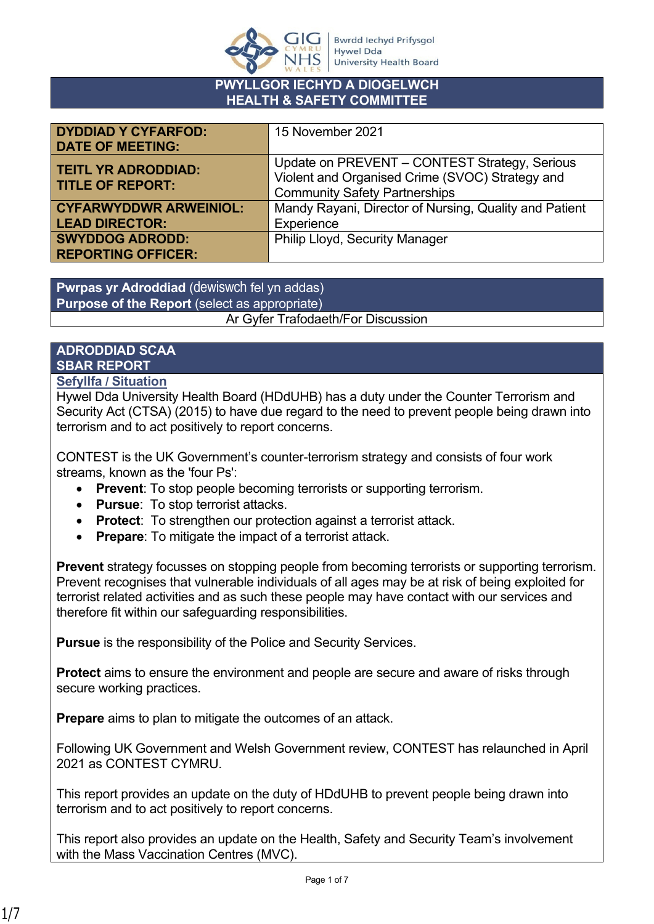

#### **PWYLLGOR IECHYD A DIOGELWCH HEALTH & SAFETY COMMITTEE**

| <b>DYDDIAD Y CYFARFOD:</b><br><b>DATE OF MEETING:</b>  | 15 November 2021                                                                                                                         |
|--------------------------------------------------------|------------------------------------------------------------------------------------------------------------------------------------------|
| <b>TEITL YR ADRODDIAD:</b><br><b>TITLE OF REPORT:</b>  | Update on PREVENT - CONTEST Strategy, Serious<br>Violent and Organised Crime (SVOC) Strategy and<br><b>Community Safety Partnerships</b> |
| <b>CYFARWYDDWR ARWEINIOL:</b><br><b>LEAD DIRECTOR:</b> | Mandy Rayani, Director of Nursing, Quality and Patient<br>Experience                                                                     |
| <b>SWYDDOG ADRODD:</b><br><b>REPORTING OFFICER:</b>    | <b>Philip Lloyd, Security Manager</b>                                                                                                    |

**Pwrpas yr Adroddiad** (dewiswch fel yn addas) **Purpose of the Report** (select as appropriate) Ar Gyfer Trafodaeth/For Discussion

# **ADRODDIAD SCAA SBAR REPORT**

## **Sefyllfa / Situation**

Hywel Dda University Health Board (HDdUHB) has a duty under the Counter Terrorism and Security Act (CTSA) (2015) to have due regard to the need to prevent people being drawn into terrorism and to act positively to report concerns.

CONTEST is the UK Government's counter-terrorism strategy and consists of four work streams, known as the 'four Ps':

- **Prevent**: To stop people becoming terrorists or supporting terrorism.
- **Pursue**: To stop terrorist attacks.
- **Protect**: To strengthen our protection against a terrorist attack.
- **Prepare**: To mitigate the impact of a terrorist attack.

**Prevent** strategy focusses on stopping people from becoming terrorists or supporting terrorism. Prevent recognises that vulnerable individuals of all ages may be at risk of being exploited for terrorist related activities and as such these people may have contact with our services and therefore fit within our safeguarding responsibilities.

**Pursue** is the responsibility of the Police and Security Services.

**Protect** aims to ensure the environment and people are secure and aware of risks through secure working practices.

**Prepare** aims to plan to mitigate the outcomes of an attack.

Following UK Government and Welsh Government review, CONTEST has relaunched in April 2021 as CONTEST CYMRU.

This report provides an update on the duty of HDdUHB to prevent people being drawn into terrorism and to act positively to report concerns.

This report also provides an update on the Health, Safety and Security Team's involvement with the Mass Vaccination Centres (MVC).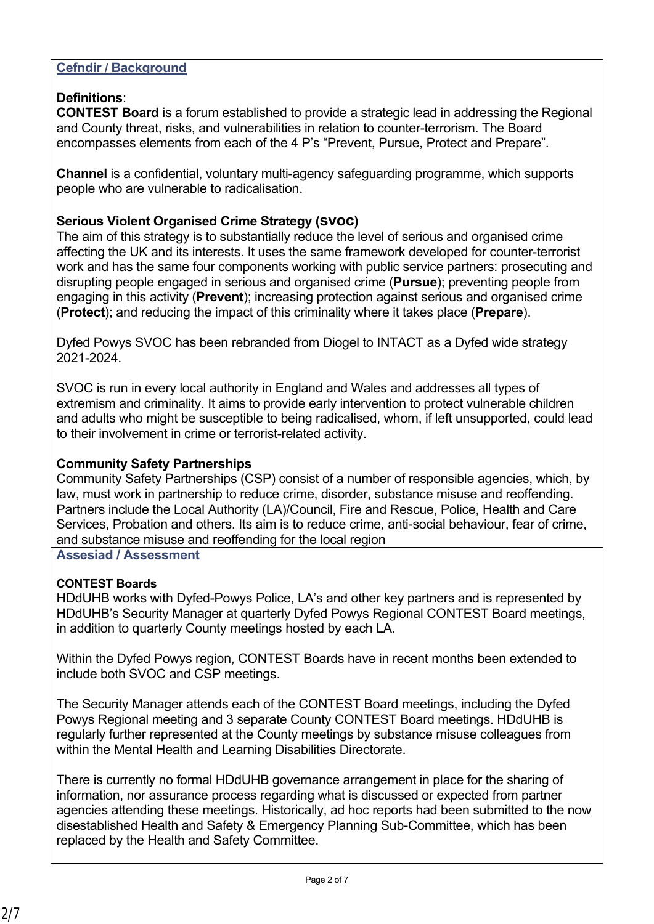# **Cefndir / Background**

# **Definitions**:

**CONTEST Board** is a forum established to provide a strategic lead in addressing the Regional and County threat, risks, and vulnerabilities in relation to counter-terrorism. The Board encompasses elements from each of the 4 P's "Prevent, Pursue, Protect and Prepare".

**Channel** is a confidential, voluntary multi-agency safeguarding programme, which supports people who are vulnerable to radicalisation.

# **Serious Violent Organised Crime Strategy (svoc)**

The aim of this strategy is to substantially reduce the level of serious and organised crime affecting the UK and its interests. It uses the same framework developed for counter-terrorist work and has the same four components working with public service partners: prosecuting and disrupting people engaged in serious and organised crime (**Pursue**); preventing people from engaging in this activity (**Prevent**); increasing protection against serious and organised crime (**Protect**); and reducing the impact of this criminality where it takes place (**Prepare**).

Dyfed Powys SVOC has been rebranded from Diogel to INTACT as a Dyfed wide strategy 2021-2024.

SVOC is run in every local authority in England and Wales and addresses all types of extremism and criminality. It aims to provide early intervention to protect vulnerable children and adults who might be susceptible to being radicalised, whom, if left unsupported, could lead to their involvement in crime or terrorist-related activity.

## **Community Safety Partnerships**

Community Safety Partnerships (CSP) consist of a number of responsible agencies, which, by law, must work in partnership to reduce crime, disorder, substance misuse and reoffending. Partners include the Local Authority (LA)/Council, Fire and Rescue, Police, Health and Care Services, Probation and others. Its aim is to reduce crime, anti-social behaviour, fear of crime, and substance misuse and reoffending for the local region

#### **Assesiad / Assessment**

#### **CONTEST Boards**

HDdUHB works with Dyfed-Powys Police, LA's and other key partners and is represented by HDdUHB's Security Manager at quarterly Dyfed Powys Regional CONTEST Board meetings, in addition to quarterly County meetings hosted by each LA.

Within the Dyfed Powys region, CONTEST Boards have in recent months been extended to include both SVOC and CSP meetings.

The Security Manager attends each of the CONTEST Board meetings, including the Dyfed Powys Regional meeting and 3 separate County CONTEST Board meetings. HDdUHB is regularly further represented at the County meetings by substance misuse colleagues from within the Mental Health and Learning Disabilities Directorate.

There is currently no formal HDdUHB governance arrangement in place for the sharing of information, nor assurance process regarding what is discussed or expected from partner agencies attending these meetings. Historically, ad hoc reports had been submitted to the now disestablished Health and Safety & Emergency Planning Sub-Committee, which has been replaced by the Health and Safety Committee.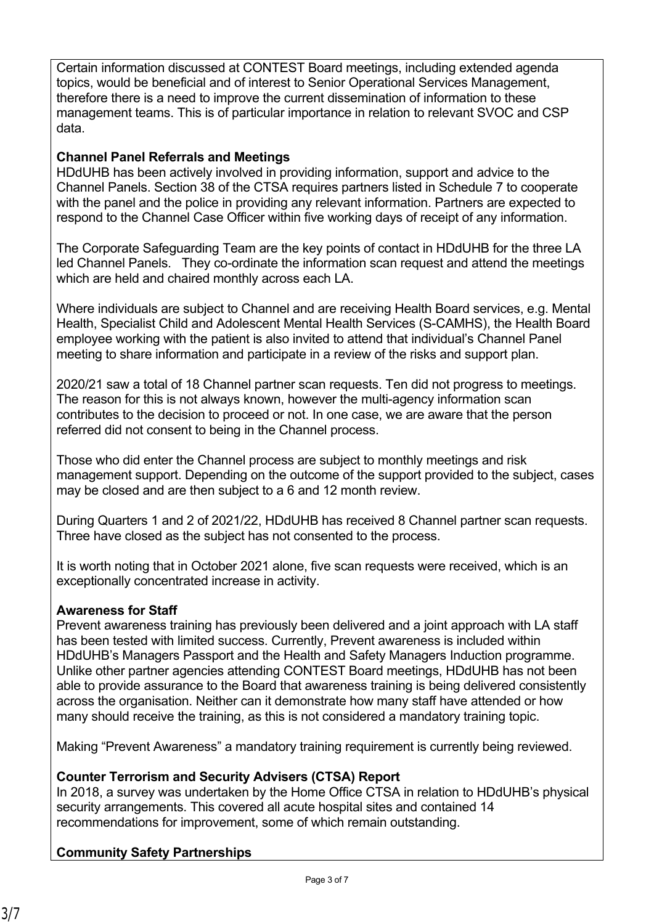Certain information discussed at CONTEST Board meetings, including extended agenda topics, would be beneficial and of interest to Senior Operational Services Management, therefore there is a need to improve the current dissemination of information to these management teams. This is of particular importance in relation to relevant SVOC and CSP data.

# **Channel Panel Referrals and Meetings**

HDdUHB has been actively involved in providing information, support and advice to the Channel Panels. Section 38 of the CTSA requires partners listed in Schedule 7 to cooperate with the panel and the police in providing any relevant information. Partners are expected to respond to the Channel Case Officer within five working days of receipt of any information.

The Corporate Safeguarding Team are the key points of contact in HDdUHB for the three LA led Channel Panels. They co-ordinate the information scan request and attend the meetings which are held and chaired monthly across each LA.

Where individuals are subject to Channel and are receiving Health Board services, e.g. Mental Health, Specialist Child and Adolescent Mental Health Services (S-CAMHS), the Health Board employee working with the patient is also invited to attend that individual's Channel Panel meeting to share information and participate in a review of the risks and support plan.

2020/21 saw a total of 18 Channel partner scan requests. Ten did not progress to meetings. The reason for this is not always known, however the multi-agency information scan contributes to the decision to proceed or not. In one case, we are aware that the person referred did not consent to being in the Channel process.

Those who did enter the Channel process are subject to monthly meetings and risk management support. Depending on the outcome of the support provided to the subject, cases may be closed and are then subject to a 6 and 12 month review.

During Quarters 1 and 2 of 2021/22, HDdUHB has received 8 Channel partner scan requests. Three have closed as the subject has not consented to the process.

It is worth noting that in October 2021 alone, five scan requests were received, which is an exceptionally concentrated increase in activity.

# **Awareness for Staff**

Prevent awareness training has previously been delivered and a joint approach with LA staff has been tested with limited success. Currently, Prevent awareness is included within HDdUHB's Managers Passport and the Health and Safety Managers Induction programme. Unlike other partner agencies attending CONTEST Board meetings, HDdUHB has not been able to provide assurance to the Board that awareness training is being delivered consistently across the organisation. Neither can it demonstrate how many staff have attended or how many should receive the training, as this is not considered a mandatory training topic.

Making "Prevent Awareness" a mandatory training requirement is currently being reviewed.

# **Counter Terrorism and Security Advisers (CTSA) Report**

In 2018, a survey was undertaken by the Home Office CTSA in relation to HDdUHB's physical security arrangements. This covered all acute hospital sites and contained 14 recommendations for improvement, some of which remain outstanding.

# **Community Safety Partnerships**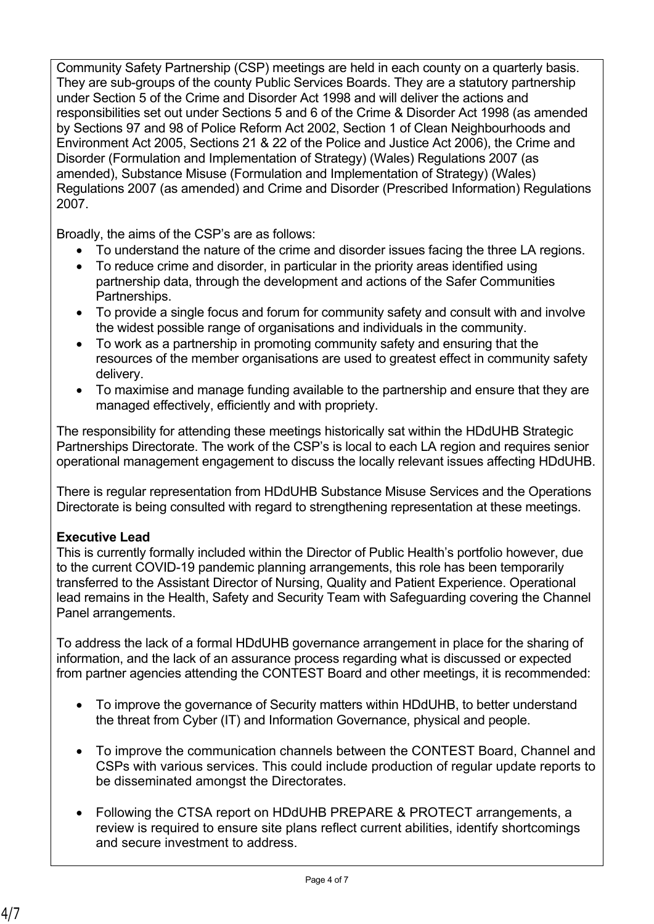Community Safety Partnership (CSP) meetings are held in each county on a quarterly basis. They are sub-groups of the county Public Services Boards. They are a statutory partnership under Section 5 of the Crime and Disorder Act 1998 and will deliver the actions and responsibilities set out under Sections 5 and 6 of the Crime & Disorder Act 1998 (as amended by Sections 97 and 98 of Police Reform Act 2002, Section 1 of Clean Neighbourhoods and Environment Act 2005, Sections 21 & 22 of the Police and Justice Act 2006), the Crime and Disorder (Formulation and Implementation of Strategy) (Wales) Regulations 2007 (as amended), Substance Misuse (Formulation and Implementation of Strategy) (Wales) Regulations 2007 (as amended) and Crime and Disorder (Prescribed Information) Regulations 2007.

Broadly, the aims of the CSP's are as follows:

- To understand the nature of the crime and disorder issues facing the three LA regions.
- To reduce crime and disorder, in particular in the priority areas identified using partnership data, through the development and actions of the Safer Communities Partnerships.
- To provide a single focus and forum for community safety and consult with and involve the widest possible range of organisations and individuals in the community.
- To work as a partnership in promoting community safety and ensuring that the resources of the member organisations are used to greatest effect in community safety delivery.
- To maximise and manage funding available to the partnership and ensure that they are managed effectively, efficiently and with propriety.

The responsibility for attending these meetings historically sat within the HDdUHB Strategic Partnerships Directorate. The work of the CSP's is local to each LA region and requires senior operational management engagement to discuss the locally relevant issues affecting HDdUHB.

There is regular representation from HDdUHB Substance Misuse Services and the Operations Directorate is being consulted with regard to strengthening representation at these meetings.

# **Executive Lead**

This is currently formally included within the Director of Public Health's portfolio however, due to the current COVID-19 pandemic planning arrangements, this role has been temporarily transferred to the Assistant Director of Nursing, Quality and Patient Experience. Operational lead remains in the Health, Safety and Security Team with Safeguarding covering the Channel Panel arrangements.

To address the lack of a formal HDdUHB governance arrangement in place for the sharing of information, and the lack of an assurance process regarding what is discussed or expected from partner agencies attending the CONTEST Board and other meetings, it is recommended:

- To improve the governance of Security matters within HDdUHB, to better understand the threat from Cyber (IT) and Information Governance, physical and people.
- To improve the communication channels between the CONTEST Board, Channel and CSPs with various services. This could include production of regular update reports to be disseminated amongst the Directorates.
- Following the CTSA report on HDdUHB PREPARE & PROTECT arrangements, a review is required to ensure site plans reflect current abilities, identify shortcomings and secure investment to address.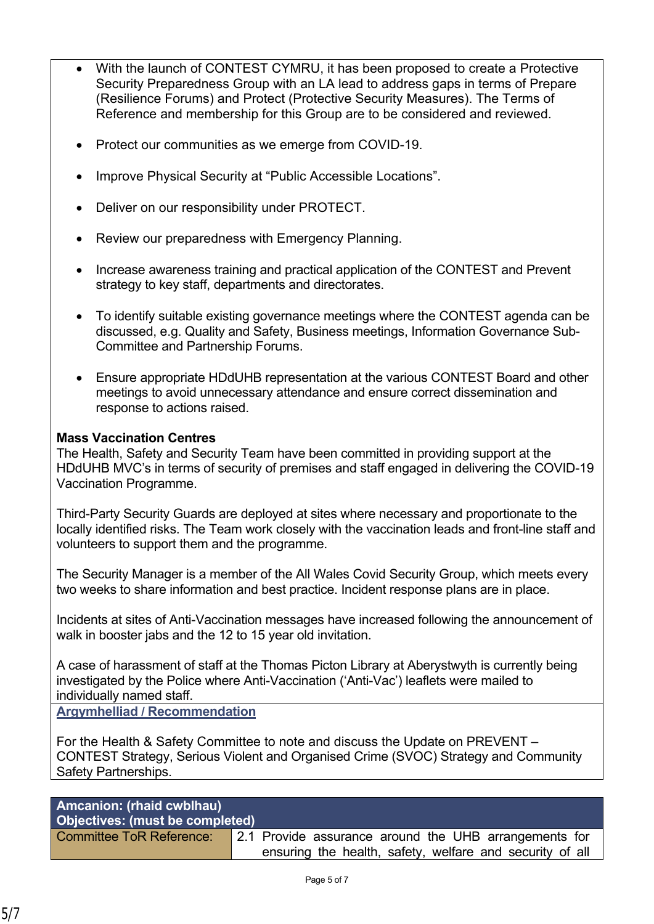- With the launch of CONTEST CYMRU, it has been proposed to create a Protective Security Preparedness Group with an LA lead to address gaps in terms of Prepare (Resilience Forums) and Protect (Protective Security Measures). The Terms of Reference and membership for this Group are to be considered and reviewed.
- Protect our communities as we emerge from COVID-19.
- Improve Physical Security at "Public Accessible Locations".
- Deliver on our responsibility under PROTECT.
- Review our preparedness with Emergency Planning.
- Increase awareness training and practical application of the CONTEST and Prevent strategy to key staff, departments and directorates.
- To identify suitable existing governance meetings where the CONTEST agenda can be discussed, e.g. Quality and Safety, Business meetings, Information Governance Sub-Committee and Partnership Forums.
- Ensure appropriate HDdUHB representation at the various CONTEST Board and other meetings to avoid unnecessary attendance and ensure correct dissemination and response to actions raised.

#### **Mass Vaccination Centres**

The Health, Safety and Security Team have been committed in providing support at the HDdUHB MVC's in terms of security of premises and staff engaged in delivering the COVID-19 Vaccination Programme.

Third-Party Security Guards are deployed at sites where necessary and proportionate to the locally identified risks. The Team work closely with the vaccination leads and front-line staff and volunteers to support them and the programme.

The Security Manager is a member of the All Wales Covid Security Group, which meets every two weeks to share information and best practice. Incident response plans are in place.

Incidents at sites of Anti-Vaccination messages have increased following the announcement of walk in booster jabs and the 12 to 15 year old invitation.

A case of harassment of staff at the Thomas Picton Library at Aberystwyth is currently being investigated by the Police where Anti-Vaccination ('Anti-Vac') leaflets were mailed to individually named staff.

**Argymhelliad / Recommendation**

For the Health & Safety Committee to note and discuss the Update on PREVENT – CONTEST Strategy, Serious Violent and Organised Crime (SVOC) Strategy and Community Safety Partnerships.

# **Amcanion: (rhaid cwblhau) Objectives: (must be completed)**

Committee ToR Reference: 2.1 Provide assurance around the UHB arrangements for ensuring the health, safety, welfare and security of all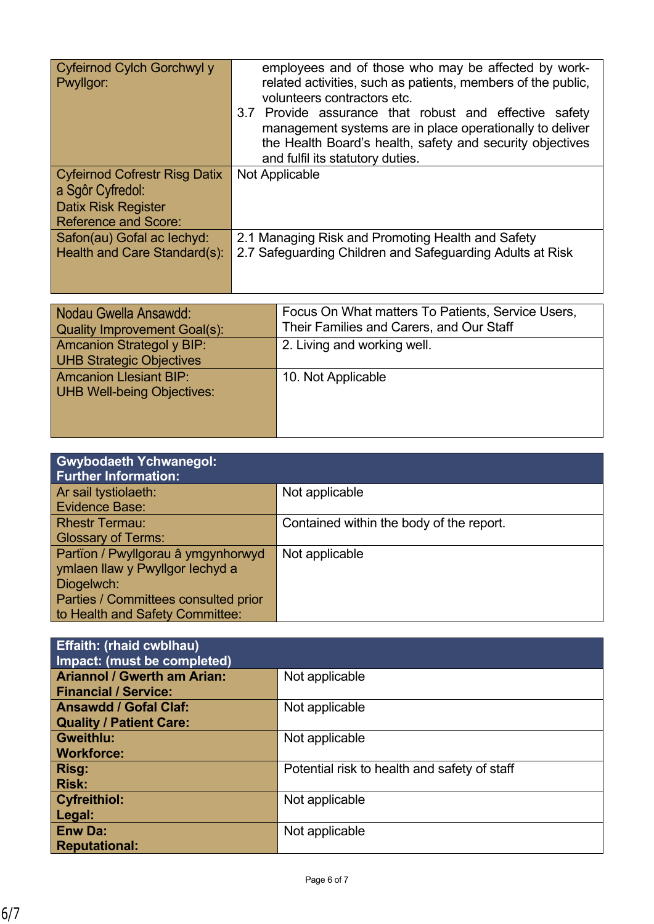| Cyfeirnod Cylch Gorchwyl y<br>Pwyllgor: | employees and of those who may be affected by work-<br>related activities, such as patients, members of the public,<br>volunteers contractors etc.<br>3.7 Provide assurance that robust and effective safety<br>management systems are in place operationally to deliver<br>the Health Board's health, safety and security objectives<br>and fulfil its statutory duties. |
|-----------------------------------------|---------------------------------------------------------------------------------------------------------------------------------------------------------------------------------------------------------------------------------------------------------------------------------------------------------------------------------------------------------------------------|
| <b>Cyfeirnod Cofrestr Risg Datix</b>    | Not Applicable                                                                                                                                                                                                                                                                                                                                                            |
|                                         |                                                                                                                                                                                                                                                                                                                                                                           |
| a Sgôr Cyfredol:                        |                                                                                                                                                                                                                                                                                                                                                                           |
| <b>Datix Risk Register</b>              |                                                                                                                                                                                                                                                                                                                                                                           |
| <b>Reference and Score:</b>             |                                                                                                                                                                                                                                                                                                                                                                           |
| Safon(au) Gofal ac lechyd:              | 2.1 Managing Risk and Promoting Health and Safety                                                                                                                                                                                                                                                                                                                         |
| Health and Care Standard(s):            | 2.7 Safeguarding Children and Safeguarding Adults at Risk                                                                                                                                                                                                                                                                                                                 |
|                                         |                                                                                                                                                                                                                                                                                                                                                                           |

| Nodau Gwella Ansawdd:<br><b>Quality Improvement Goal(s):</b>        | Focus On What matters To Patients, Service Users,<br>Their Families and Carers, and Our Staff |
|---------------------------------------------------------------------|-----------------------------------------------------------------------------------------------|
| <b>Amcanion Strategol y BIP:</b><br><b>UHB Strategic Objectives</b> | 2. Living and working well.                                                                   |
| <b>Amcanion Llesiant BIP:</b><br><b>UHB Well-being Objectives:</b>  | 10. Not Applicable                                                                            |

| <b>Gwybodaeth Ychwanegol:</b><br><b>Further Information:</b> |                                          |
|--------------------------------------------------------------|------------------------------------------|
| Ar sail tystiolaeth:                                         | Not applicable                           |
| <b>Evidence Base:</b>                                        |                                          |
| <b>Rhestr Termau:</b>                                        | Contained within the body of the report. |
| <b>Glossary of Terms:</b>                                    |                                          |
| Partïon / Pwyllgorau â ymgynhorwyd                           | Not applicable                           |
| ymlaen llaw y Pwyllgor lechyd a                              |                                          |
| Diogelwch:                                                   |                                          |
| Parties / Committees consulted prior                         |                                          |
| to Health and Safety Committee:                              |                                          |

| <b>Effaith: (rhaid cwblhau)</b><br>Impact: (must be completed)    |                                              |
|-------------------------------------------------------------------|----------------------------------------------|
| <b>Ariannol / Gwerth am Arian:</b><br><b>Financial / Service:</b> | Not applicable                               |
| <b>Ansawdd / Gofal Claf:</b><br><b>Quality / Patient Care:</b>    | Not applicable                               |
| <b>Gweithlu:</b><br><b>Workforce:</b>                             | Not applicable                               |
| Risg:<br><b>Risk:</b>                                             | Potential risk to health and safety of staff |
| <b>Cyfreithiol:</b><br>Legal:                                     | Not applicable                               |
| <b>Enw Da:</b><br><b>Reputational:</b>                            | Not applicable                               |